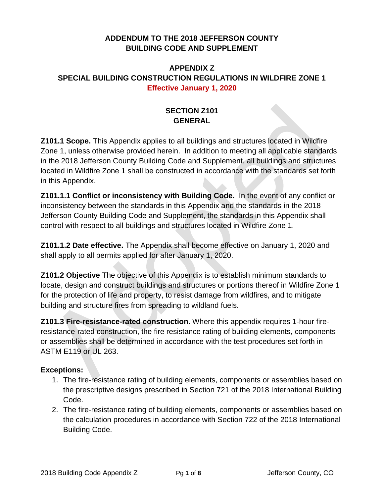## **ADDENDUM TO THE 2018 JEFFERSON COUNTY BUILDING CODE AND SUPPLEMENT**

## **APPENDIX Z SPECIAL BUILDING CONSTRUCTION REGULATIONS IN WILDFIRE ZONE 1 Effective January 1, 2020**

# **SECTION Z101 GENERAL**

**Z101.1 Scope.** This Appendix applies to all buildings and structures located in Wildfire Zone 1, unless otherwise provided herein. In addition to meeting all applicable standards in the 2018 Jefferson County Building Code and Supplement, all buildings and structures located in Wildfire Zone 1 shall be constructed in accordance with the standards set forth in this Appendix.

**Z101.1.1 Conflict or inconsistency with Building Code.** In the event of any conflict or inconsistency between the standards in this Appendix and the standards in the 2018 Jefferson County Building Code and Supplement, the standards in this Appendix shall control with respect to all buildings and structures located in Wildfire Zone 1.

**Z101.1.2 Date effective.** The Appendix shall become effective on January 1, 2020 and shall apply to all permits applied for after January 1, 2020.

**Z101.2 Objective** The objective of this Appendix is to establish minimum standards to locate, design and construct buildings and structures or portions thereof in Wildfire Zone 1 for the protection of life and property, to resist damage from wildfires, and to mitigate building and structure fires from spreading to wildland fuels.

**Z101.3 Fire-resistance-rated construction.** Where this appendix requires 1-hour fireresistance-rated construction, the fire resistance rating of building elements, components or assemblies shall be determined in accordance with the test procedures set forth in ASTM E119 or UL 263.

#### **Exceptions:**

- 1. The fire-resistance rating of building elements, components or assemblies based on the prescriptive designs prescribed in Section 721 of the 2018 International Building Code.
- 2. The fire-resistance rating of building elements, components or assemblies based on the calculation procedures in accordance with Section 722 of the 2018 International Building Code.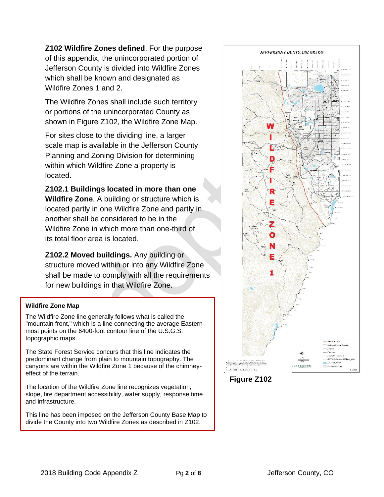**Z102 Wildfire Zones defined**. For the purpose of this appendix, the unincorporated portion of Jefferson County is divided into Wildfire Zones which shall be known and designated as Wildfire Zones 1 and 2.

The Wildfire Zones shall include such territory or portions of the unincorporated County as shown in Figure Z102, the Wildfire Zone Map.

For sites close to the dividing line, a larger scale map is available in the Jefferson County Planning and Zoning Division for determining within which Wildfire Zone a property is located.

**Z102.1 Buildings located in more than one Wildfire Zone**. A building or structure which is located partly in one Wildfire Zone and partly in another shall be considered to be in the Wildfire Zone in which more than one-third of its total floor area is located.

**Z102.2 Moved buildings.** Any building or structure moved within or into any Wildfire Zone shall be made to comply with all the requirements for new buildings in that Wildfire Zone.

#### **Wildfire Zone Map**

The Wildfire Zone line generally follows what is called the "mountain front," which is a line connecting the average Easternmost points on the 6400-foot contour line of the U.S.G.S. topographic maps.

The State Forest Service concurs that this line indicates the predominant change from plain to mountain topography. The canyons are within the Wildfire Zone 1 because of the chimneyeffect of the terrain.

 **Figure Z102** The location of the Wildfire Zone line recognizes vegetation, slope, fire department accessibility, water supply, response time and infrastructure.

This line has been imposed on the Jefferson County Base Map to divide the County into two Wildfire Zones as described in Z102.



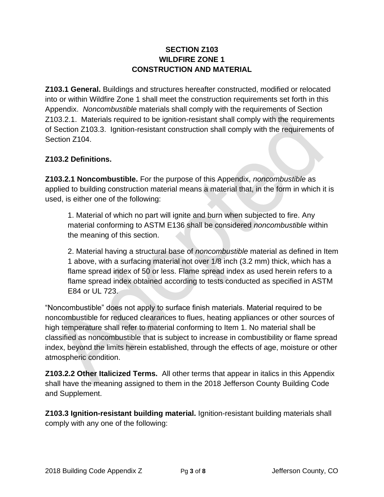#### **SECTION Z103 WILDFIRE ZONE 1 CONSTRUCTION AND MATERIAL**

**Z103.1 General.** Buildings and structures hereafter constructed, modified or relocated into or within Wildfire Zone 1 shall meet the construction requirements set forth in this Appendix. *Noncombustible* materials shall comply with the requirements of Section Z103.2.1. Materials required to be ignition-resistant shall comply with the requirements of Section Z103.3. Ignition-resistant construction shall comply with the requirements of Section 7104

## **Z103.2 Definitions.**

**Z103.2.1 Noncombustible.** For the purpose of this Appendix, *noncombustible* as applied to building construction material means a material that, in the form in which it is used, is either one of the following:

1. Material of which no part will ignite and burn when subjected to fire. Any material conforming to ASTM E136 shall be considered *noncombustible* within the meaning of this section.

2. Material having a structural base of *noncombustible* material as defined in Item 1 above, with a surfacing material not over 1/8 inch (3.2 mm) thick, which has a flame spread index of 50 or less. Flame spread index as used herein refers to a flame spread index obtained according to tests conducted as specified in ASTM E84 or UL 723.

"Noncombustible" does not apply to surface finish materials. Material required to be noncombustible for reduced clearances to flues, heating appliances or other sources of high temperature shall refer to material conforming to Item 1. No material shall be classified as noncombustible that is subject to increase in combustibility or flame spread index, beyond the limits herein established, through the effects of age, moisture or other atmospheric condition.

**Z103.2.2 Other Italicized Terms.** All other terms that appear in italics in this Appendix shall have the meaning assigned to them in the 2018 Jefferson County Building Code and Supplement.

**Z103.3 Ignition-resistant building material.** Ignition-resistant building materials shall comply with any one of the following: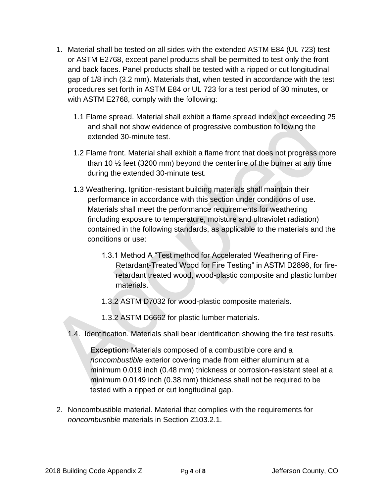- 1. Material shall be tested on all sides with the extended ASTM E84 (UL 723) test or ASTM E2768, except panel products shall be permitted to test only the front and back faces. Panel products shall be tested with a ripped or cut longitudinal gap of 1/8 inch (3.2 mm). Materials that, when tested in accordance with the test procedures set forth in ASTM E84 or UL 723 for a test period of 30 minutes, or with ASTM E2768, comply with the following:
	- 1.1 Flame spread. Material shall exhibit a flame spread index not exceeding 25 and shall not show evidence of progressive combustion following the extended 30-minute test.
	- 1.2 Flame front. Material shall exhibit a flame front that does not progress more than 10  $\frac{1}{2}$  feet (3200 mm) beyond the centerline of the burner at any time during the extended 30-minute test.
	- 1.3 Weathering. Ignition-resistant building materials shall maintain their performance in accordance with this section under conditions of use. Materials shall meet the performance requirements for weathering (including exposure to temperature, moisture and ultraviolet radiation) contained in the following standards, as applicable to the materials and the conditions or use:
		- 1.3.1 Method A "Test method for Accelerated Weathering of Fire-Retardant-Treated Wood for Fire Testing" in ASTM D2898, for fireretardant treated wood, wood-plastic composite and plastic lumber materials.
		- 1.3.2 ASTM D7032 for wood-plastic composite materials.
		- 1.3.2 ASTM D6662 for plastic lumber materials.
	- 1.4. Identification. Materials shall bear identification showing the fire test results.

**Exception:** Materials composed of a combustible core and a *noncombustible* exterior covering made from either aluminum at a minimum 0.019 inch (0.48 mm) thickness or corrosion-resistant steel at a minimum 0.0149 inch (0.38 mm) thickness shall not be required to be tested with a ripped or cut longitudinal gap.

2. Noncombustible material. Material that complies with the requirements for *noncombustible* materials in Section Z103.2.1.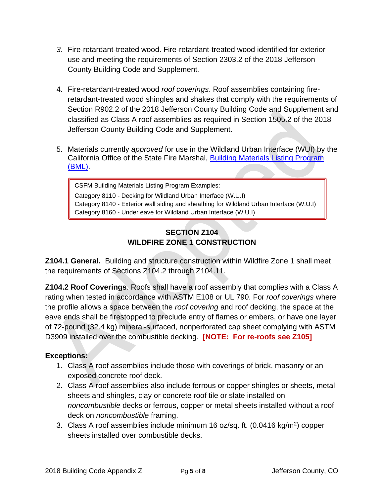- *3.* Fire-retardant-treated wood. Fire-retardant-treated wood identified for exterior use and meeting the requirements of Section 2303.2 of the 2018 Jefferson County Building Code and Supplement*.*
- 4. Fire-retardant-treated wood *roof coverings*. Roof assemblies containing fireretardant-treated wood shingles and shakes that comply with the requirements of Section R902.2 of the 2018 Jefferson County Building Code and Supplement and classified as Class A roof assemblies as required in Section 1505.2 of the 2018 Jefferson County Building Code and Supplement.
- 5. Materials currently *approved* for use in the Wildland Urban Interface (WUI) by the California Office of the State Fire Marshal, [Building Materials Listing Program](https://osfm.fire.ca.gov/divisions/fire-engineering-and-investigations/building-materials-listing/bml-search-building-materials-listing/)  [\(BML\).](https://osfm.fire.ca.gov/divisions/fire-engineering-and-investigations/building-materials-listing/bml-search-building-materials-listing/)

CSFM Building Materials Listing Program Examples: Category 8110 - Decking for Wildland Urban Interface (W.U.I) Category 8140 - Exterior wall siding and sheathing for Wildland Urban Interface (W.U.I) Category 8160 - Under eave for Wildland Urban Interface (W.U.I)

# **SECTION Z104 WILDFIRE ZONE 1 CONSTRUCTION**

**Z104.1 General.** Building and structure construction within Wildfire Zone 1 shall meet the requirements of Sections Z104.2 through Z104.11.

**Z104.2 Roof Coverings**. Roofs shall have a roof assembly that complies with a Class A rating when tested in accordance with ASTM E108 or UL 790. For *roof coverings* where the profile allows a space between the *roof covering* and roof decking, the space at the eave ends shall be firestopped to preclude entry of flames or embers, or have one layer of 72-pound (32.4 kg) mineral-surfaced, nonperforated cap sheet complying with ASTM D3909 installed over the combustible decking. **[NOTE: For re-roofs see Z105]**

# **Exceptions:**

- 1. Class A roof assemblies include those with coverings of brick, masonry or an exposed concrete roof deck.
- 2. Class A roof assemblies also include ferrous or copper shingles or sheets, metal sheets and shingles, clay or concrete roof tile or slate installed on *noncombustible* decks or ferrous, copper or metal sheets installed without a roof deck on *noncombustible* framing.
- 3. Class A roof assemblies include minimum 16 oz/sq. ft.  $(0.0416 \text{ kg/m}^2)$  copper sheets installed over combustible decks.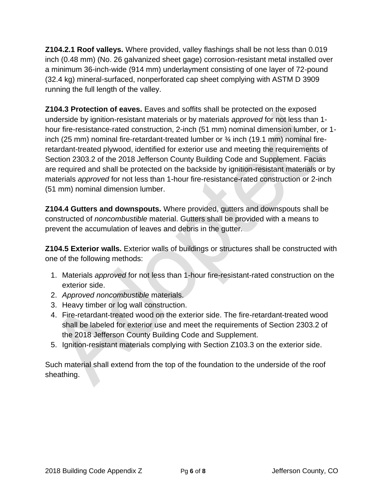**Z104.2.1 Roof valleys.** Where provided, valley flashings shall be not less than 0.019 inch (0.48 mm) (No. 26 galvanized sheet gage) corrosion-resistant metal installed over a minimum 36-inch-wide (914 mm) underlayment consisting of one layer of 72-pound (32.4 kg) mineral-surfaced, nonperforated cap sheet complying with ASTM D 3909 running the full length of the valley.

**Z104.3 Protection of eaves.** Eaves and soffits shall be protected on the exposed underside by ignition-resistant materials or by materials *approved* for not less than 1 hour fire-resistance-rated construction, 2-inch (51 mm) nominal dimension lumber, or 1 inch (25 mm) nominal fire-retardant-treated lumber or  $\frac{3}{4}$  inch (19.1 mm) nominal fireretardant-treated plywood, identified for exterior use and meeting the requirements of Section 2303.2 of the 2018 Jefferson County Building Code and Supplement. Facias are required and shall be protected on the backside by ignition-resistant materials or by materials *approved* for not less than 1-hour fire-resistance-rated construction or 2-inch (51 mm) nominal dimension lumber.

**Z104.4 Gutters and downspouts.** Where provided, gutters and downspouts shall be constructed of *noncombustible* material. Gutters shall be provided with a means to prevent the accumulation of leaves and debris in the gutter.

**Z104.5 Exterior walls.** Exterior walls of buildings or structures shall be constructed with one of the following methods:

- 1. Materials *approved* for not less than 1-hour fire-resistant-rated construction on the exterior side.
- 2. *Approved noncombustible* materials.
- 3. Heavy timber or log wall construction.
- 4. Fire-retardant-treated wood on the exterior side. The fire-retardant-treated wood shall be labeled for exterior use and meet the requirements of Section 2303.2 of the 2018 Jefferson County Building Code and Supplement.
- 5. Ignition-resistant materials complying with Section Z103.3 on the exterior side.

Such material shall extend from the top of the foundation to the underside of the roof sheathing.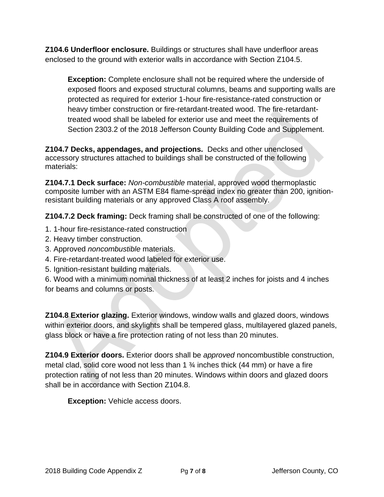**Z104.6 Underfloor enclosure.** Buildings or structures shall have underfloor areas enclosed to the ground with exterior walls in accordance with Section Z104.5.

**Exception:** Complete enclosure shall not be required where the underside of exposed floors and exposed structural columns, beams and supporting walls are protected as required for exterior 1-hour fire-resistance-rated construction or heavy timber construction or fire-retardant-treated wood. The fire-retardanttreated wood shall be labeled for exterior use and meet the requirements of Section 2303.2 of the 2018 Jefferson County Building Code and Supplement.

**Z104.7 Decks, appendages, and projections.** Decks and other unenclosed accessory structures attached to buildings shall be constructed of the following materials:

**Z104.7.1 Deck surface:** *Non-combustible* material, approved wood thermoplastic composite lumber with an ASTM E84 flame-spread index no greater than 200, ignitionresistant building materials or any approved Class A roof assembly.

**Z104.7.2 Deck framing:** Deck framing shall be constructed of one of the following:

- 1. 1-hour fire-resistance-rated construction
- 2. Heavy timber construction.
- 3. Approved *noncombustible* materials.
- 4. Fire-retardant-treated wood labeled for exterior use.
- 5. Ignition-resistant building materials.
- 6. Wood with a minimum nominal thickness of at least 2 inches for joists and 4 inches for beams and columns or posts.

**Z104.8 Exterior glazing.** Exterior windows, window walls and glazed doors, windows within exterior doors, and skylights shall be tempered glass, multilayered glazed panels, glass block or have a fire protection rating of not less than 20 minutes.

**Z104.9 Exterior doors.** Exterior doors shall be *approved* noncombustible construction, metal clad, solid core wood not less than 1 ¾ inches thick (44 mm) or have a fire protection rating of not less than 20 minutes. Windows within doors and glazed doors shall be in accordance with Section Z104.8.

**Exception:** Vehicle access doors.